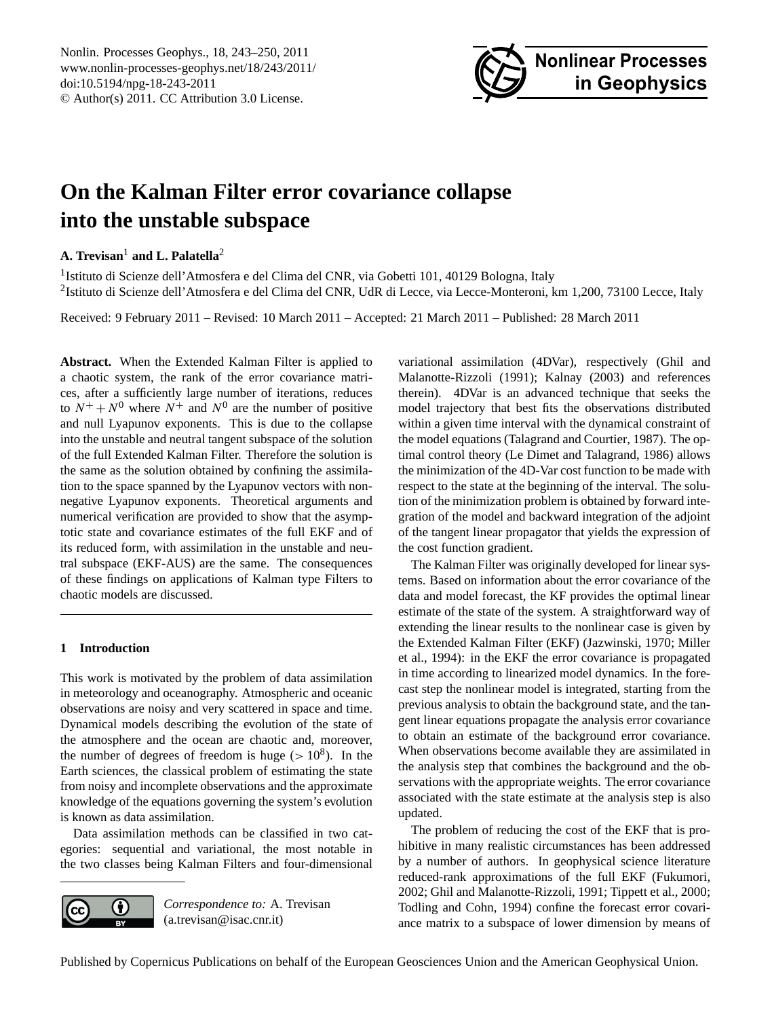

# <span id="page-0-0"></span>**On the Kalman Filter error covariance collapse into the unstable subspace**

# **A. Trevisan**<sup>1</sup> **and L. Palatella**<sup>2</sup>

<sup>1</sup> Istituto di Scienze dell'Atmosfera e del Clima del CNR, via Gobetti 101, 40129 Bologna, Italy <sup>2</sup>Istituto di Scienze dell'Atmosfera e del Clima del CNR, UdR di Lecce, via Lecce-Monteroni, km 1,200, 73100 Lecce, Italy

Received: 9 February 2011 – Revised: 10 March 2011 – Accepted: 21 March 2011 – Published: 28 March 2011

**Abstract.** When the Extended Kalman Filter is applied to a chaotic system, the rank of the error covariance matrices, after a sufficiently large number of iterations, reduces to  $N^+ + N^0$  where  $N^+$  and  $N^0$  are the number of positive and null Lyapunov exponents. This is due to the collapse into the unstable and neutral tangent subspace of the solution of the full Extended Kalman Filter. Therefore the solution is the same as the solution obtained by confining the assimilation to the space spanned by the Lyapunov vectors with nonnegative Lyapunov exponents. Theoretical arguments and numerical verification are provided to show that the asymptotic state and covariance estimates of the full EKF and of its reduced form, with assimilation in the unstable and neutral subspace (EKF-AUS) are the same. The consequences of these findings on applications of Kalman type Filters to chaotic models are discussed.

# <span id="page-0-1"></span>**1 Introduction**

This work is motivated by the problem of data assimilation in meteorology and oceanography. Atmospheric and oceanic observations are noisy and very scattered in space and time. Dynamical models describing the evolution of the state of the atmosphere and the ocean are chaotic and, moreover, the number of degrees of freedom is huge  $(>10^8)$ . In the Earth sciences, the classical problem of estimating the state from noisy and incomplete observations and the approximate knowledge of the equations governing the system's evolution is known as data assimilation.

Data assimilation methods can be classified in two categories: sequential and variational, the most notable in the two classes being Kalman Filters and four-dimensional



*Correspondence to:* A. Trevisan (a.trevisan@isac.cnr.it)

variational assimilation (4DVar), respectively [\(Ghil and](#page-7-0) [Malanotte-Rizzoli](#page-7-0) [\(1991\)](#page-7-0); [Kalnay](#page-7-1) [\(2003\)](#page-7-1) and references therein). 4DVar is an advanced technique that seeks the model trajectory that best fits the observations distributed within a given time interval with the dynamical constraint of the model equations [\(Talagrand and Courtier,](#page-7-2) [1987\)](#page-7-2). The optimal control theory [\(Le Dimet and Talagrand,](#page-7-3) [1986\)](#page-7-3) allows the minimization of the 4D-Var cost function to be made with respect to the state at the beginning of the interval. The solution of the minimization problem is obtained by forward integration of the model and backward integration of the adjoint of the tangent linear propagator that yields the expression of the cost function gradient.

The Kalman Filter was originally developed for linear systems. Based on information about the error covariance of the data and model forecast, the KF provides the optimal linear estimate of the state of the system. A straightforward way of extending the linear results to the nonlinear case is given by the Extended Kalman Filter (EKF) [\(Jazwinski,](#page-7-4) [1970;](#page-7-4) [Miller](#page-7-5) [et al.,](#page-7-5) [1994\)](#page-7-5): in the EKF the error covariance is propagated in time according to linearized model dynamics. In the forecast step the nonlinear model is integrated, starting from the previous analysis to obtain the background state, and the tangent linear equations propagate the analysis error covariance to obtain an estimate of the background error covariance. When observations become available they are assimilated in the analysis step that combines the background and the observations with the appropriate weights. The error covariance associated with the state estimate at the analysis step is also updated.

The problem of reducing the cost of the EKF that is prohibitive in many realistic circumstances has been addressed by a number of authors. In geophysical science literature reduced-rank approximations of the full EKF [\(Fukumori,](#page-7-6) [2002;](#page-7-6) [Ghil and Malanotte-Rizzoli,](#page-7-0) [1991;](#page-7-0) [Tippett et al.,](#page-7-7) [2000;](#page-7-7) [Todling and Cohn,](#page-7-8) [1994\)](#page-7-8) confine the forecast error covariance matrix to a subspace of lower dimension by means of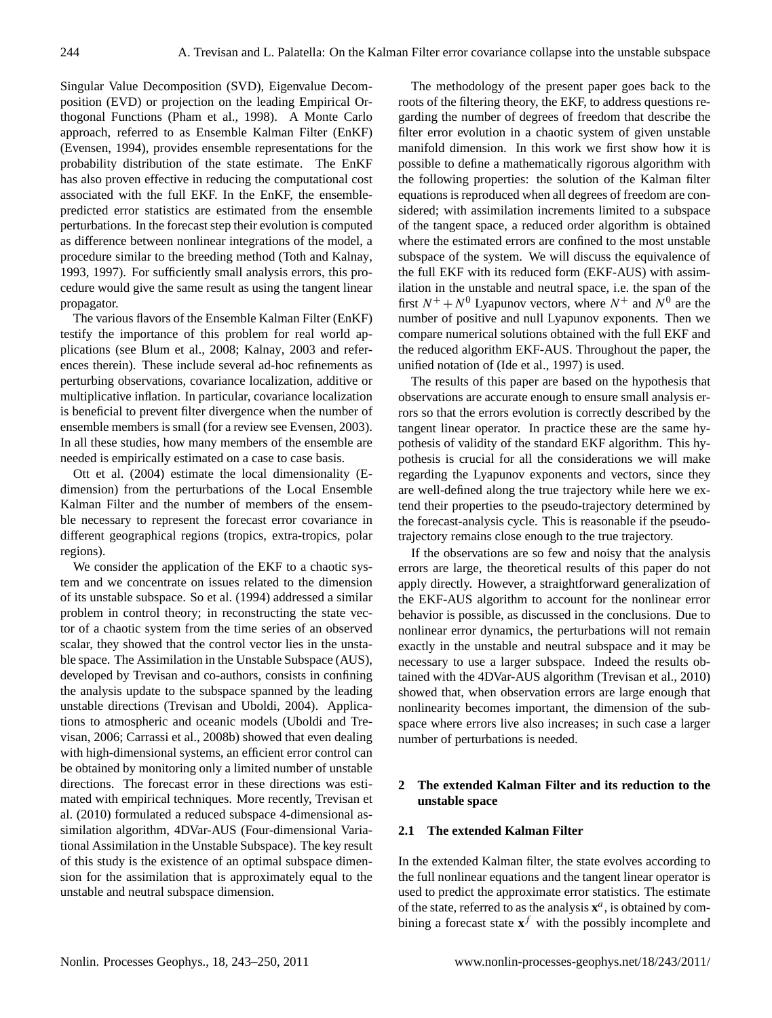Singular Value Decomposition (SVD), Eigenvalue Decomposition (EVD) or projection on the leading Empirical Orthogonal Functions [\(Pham et al.,](#page-7-9) [1998\)](#page-7-9). A Monte Carlo approach, referred to as Ensemble Kalman Filter (EnKF) [\(Evensen,](#page-7-10) [1994\)](#page-7-10), provides ensemble representations for the probability distribution of the state estimate. The EnKF has also proven effective in reducing the computational cost associated with the full EKF. In the EnKF, the ensemblepredicted error statistics are estimated from the ensemble perturbations. In the forecast step their evolution is computed as difference between nonlinear integrations of the model, a procedure similar to the breeding method [\(Toth and Kalnay,](#page-7-11) [1993,](#page-7-11) [1997\)](#page-7-12). For sufficiently small analysis errors, this procedure would give the same result as using the tangent linear propagator.

The various flavors of the Ensemble Kalman Filter (EnKF) testify the importance of this problem for real world applications (see [Blum et al.,](#page-7-13) [2008;](#page-7-13) [Kalnay,](#page-7-1) [2003](#page-7-1) and references therein). These include several ad-hoc refinements as perturbing observations, covariance localization, additive or multiplicative inflation. In particular, covariance localization is beneficial to prevent filter divergence when the number of ensemble members is small (for a review see [Evensen,](#page-7-14) [2003\)](#page-7-14). In all these studies, how many members of the ensemble are needed is empirically estimated on a case to case basis.

[Ott et al.](#page-7-15) [\(2004\)](#page-7-15) estimate the local dimensionality (Edimension) from the perturbations of the Local Ensemble Kalman Filter and the number of members of the ensemble necessary to represent the forecast error covariance in different geographical regions (tropics, extra-tropics, polar regions).

We consider the application of the EKF to a chaotic system and we concentrate on issues related to the dimension of its unstable subspace. [So et al.](#page-7-16) [\(1994\)](#page-7-16) addressed a similar problem in control theory; in reconstructing the state vector of a chaotic system from the time series of an observed scalar, they showed that the control vector lies in the unstable space. The Assimilation in the Unstable Subspace (AUS), developed by Trevisan and co-authors, consists in confining the analysis update to the subspace spanned by the leading unstable directions [\(Trevisan and Uboldi,](#page-7-17) [2004\)](#page-7-17). Applications to atmospheric and oceanic models [\(Uboldi and Tre](#page-7-18)[visan,](#page-7-18) [2006;](#page-7-18) [Carrassi et al.,](#page-7-19) [2008b\)](#page-7-19) showed that even dealing with high-dimensional systems, an efficient error control can be obtained by monitoring only a limited number of unstable directions. The forecast error in these directions was estimated with empirical techniques. More recently, [Trevisan et](#page-7-20) [al.](#page-7-20) [\(2010\)](#page-7-20) formulated a reduced subspace 4-dimensional assimilation algorithm, 4DVar-AUS (Four-dimensional Variational Assimilation in the Unstable Subspace). The key result of this study is the existence of an optimal subspace dimension for the assimilation that is approximately equal to the unstable and neutral subspace dimension.

The methodology of the present paper goes back to the roots of the filtering theory, the EKF, to address questions regarding the number of degrees of freedom that describe the filter error evolution in a chaotic system of given unstable manifold dimension. In this work we first show how it is possible to define a mathematically rigorous algorithm with the following properties: the solution of the Kalman filter equations is reproduced when all degrees of freedom are considered; with assimilation increments limited to a subspace of the tangent space, a reduced order algorithm is obtained where the estimated errors are confined to the most unstable subspace of the system. We will discuss the equivalence of the full EKF with its reduced form (EKF-AUS) with assimilation in the unstable and neutral space, i.e. the span of the first  $N^+ + N^0$  Lyapunov vectors, where  $N^+$  and  $N^0$  are the number of positive and null Lyapunov exponents. Then we compare numerical solutions obtained with the full EKF and the reduced algorithm EKF-AUS. Throughout the paper, the unified notation of [\(Ide et al.,](#page-7-21) [1997\)](#page-7-21) is used.

The results of this paper are based on the hypothesis that observations are accurate enough to ensure small analysis errors so that the errors evolution is correctly described by the tangent linear operator. In practice these are the same hypothesis of validity of the standard EKF algorithm. This hypothesis is crucial for all the considerations we will make regarding the Lyapunov exponents and vectors, since they are well-defined along the true trajectory while here we extend their properties to the pseudo-trajectory determined by the forecast-analysis cycle. This is reasonable if the pseudotrajectory remains close enough to the true trajectory.

If the observations are so few and noisy that the analysis errors are large, the theoretical results of this paper do not apply directly. However, a straightforward generalization of the EKF-AUS algorithm to account for the nonlinear error behavior is possible, as discussed in the conclusions. Due to nonlinear error dynamics, the perturbations will not remain exactly in the unstable and neutral subspace and it may be necessary to use a larger subspace. Indeed the results obtained with the 4DVar-AUS algorithm [\(Trevisan et al.,](#page-7-20) [2010\)](#page-7-20) showed that, when observation errors are large enough that nonlinearity becomes important, the dimension of the subspace where errors live also increases; in such case a larger number of perturbations is needed.

## **2 The extended Kalman Filter and its reduction to the unstable space**

#### **2.1 The extended Kalman Filter**

In the extended Kalman filter, the state evolves according to the full nonlinear equations and the tangent linear operator is used to predict the approximate error statistics. The estimate of the state, referred to as the analysis  $x^a$ , is obtained by combining a forecast state  $x^f$  with the possibly incomplete and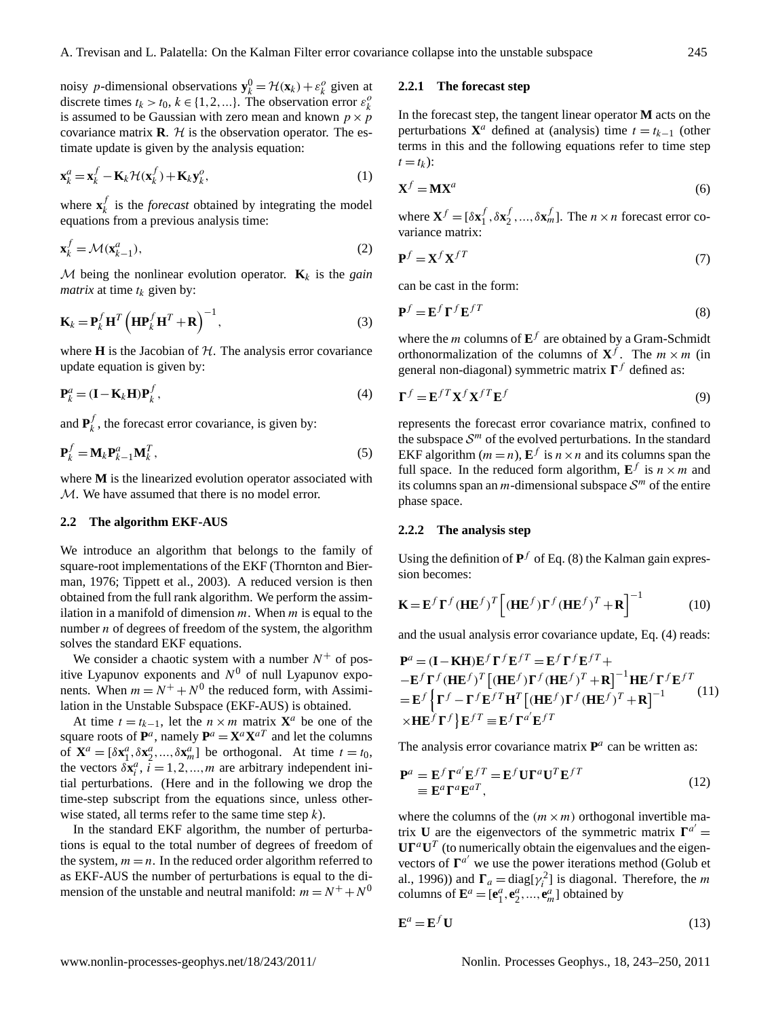noisy p-dimensional observations  $\mathbf{y}_k^0 = \mathcal{H}(\mathbf{x}_k) + \varepsilon_k^0$  given at discrete times  $t_k > t_0, k \in \{1, 2, ...\}$ . The observation error  $\varepsilon_k^o$ is assumed to be Gaussian with zero mean and known  $p \times p$ covariance matrix  $\mathbf{R}$ .  $\mathcal{H}$  is the observation operator. The estimate update is given by the analysis equation:

<span id="page-2-3"></span>
$$
\mathbf{x}_{k}^{a} = \mathbf{x}_{k}^{f} - \mathbf{K}_{k} \mathcal{H}(\mathbf{x}_{k}^{f}) + \mathbf{K}_{k} \mathbf{y}_{k}^{o},
$$
\n(1)

where  $\mathbf{x}_k^f$  $\frac{1}{k}$  is the *forecast* obtained by integrating the model equations from a previous analysis time:

$$
\mathbf{x}_k^f = \mathcal{M}(\mathbf{x}_{k-1}^a),\tag{2}
$$

 $M$  being the nonlinear evolution operator.  $\mathbf{K}_k$  is the *gain matrix* at time  $t_k$  given by:

$$
\mathbf{K}_{k} = \mathbf{P}_{k}^{f} \mathbf{H}^{T} \left( \mathbf{H} \mathbf{P}_{k}^{f} \mathbf{H}^{T} + \mathbf{R} \right)^{-1}, \tag{3}
$$

where  $H$  is the Jacobian of  $H$ . The analysis error covariance update equation is given by:

<span id="page-2-1"></span>
$$
\mathbf{P}_k^a = (\mathbf{I} - \mathbf{K}_k \mathbf{H}) \mathbf{P}_k^f, \tag{4}
$$

and  $\mathbf{P}_k^f$  $\lambda_k^j$ , the forecast error covariance, is given by:

$$
\mathbf{P}_k^f = \mathbf{M}_k \mathbf{P}_{k-1}^a \mathbf{M}_k^T,\tag{5}
$$

where **M** is the linearized evolution operator associated with M. We have assumed that there is no model error.

#### **2.2 The algorithm EKF-AUS**

We introduce an algorithm that belongs to the family of square-root implementations of the EKF [\(Thornton and Bier](#page-7-22)[man,](#page-7-22) [1976;](#page-7-22) [Tippett et al.,](#page-7-23) [2003\)](#page-7-23). A reduced version is then obtained from the full rank algorithm. We perform the assimilation in a manifold of dimension  $m$ . When  $m$  is equal to the number  $n$  of degrees of freedom of the system, the algorithm solves the standard EKF equations.

We consider a chaotic system with a number  $N^+$  of positive Lyapunov exponents and  $N^0$  of null Lyapunov exponents. When  $m = N^+ + N^0$  the reduced form, with Assimilation in the Unstable Subspace (EKF-AUS) is obtained.

At time  $t = t_{k-1}$ , let the  $n \times m$  matrix  $\mathbf{X}^a$  be one of the square roots of  $P^a$ , namely  $P^a = X^a X^{aT}$  and let the columns of  $\mathbf{X}^a = [\delta \mathbf{x}_1^a, \delta \mathbf{x}_2^a, ..., \delta \mathbf{x}_m^a]$  be orthogonal. At time  $t = t_0$ , the vectors  $\delta \mathbf{x}_i^a$ ,  $\tilde{i} = 1, 2, ..., m$  are arbitrary independent initial perturbations. (Here and in the following we drop the time-step subscript from the equations since, unless otherwise stated, all terms refer to the same time step  $k$ ).

In the standard EKF algorithm, the number of perturbations is equal to the total number of degrees of freedom of the system,  $m = n$ . In the reduced order algorithm referred to as EKF-AUS the number of perturbations is equal to the dimension of the unstable and neutral manifold:  $m = N^+ + N^0$ 

#### **2.2.1 The forecast step**

In the forecast step, the tangent linear operator **M** acts on the perturbations  $X^a$  defined at (analysis) time  $t = t_{k-1}$  (other terms in this and the following equations refer to time step  $t = t_k$ ):

<span id="page-2-2"></span>
$$
\mathbf{X}^f = \mathbf{M}\mathbf{X}^a \tag{6}
$$

where  $\mathbf{X}^f = [\delta \mathbf{x}_1^f]$  $\frac{f}{1}, \delta \mathbf{x}_2^f$  $\sum_{i=1}^{f}$ ,...,  $\delta \mathbf{x}_{m}^{f}$ ]. The *n* × *n* forecast error covariance matrix:

$$
\mathbf{P}^f = \mathbf{X}^f \mathbf{X}^{fT} \tag{7}
$$

can be cast in the form:

<span id="page-2-0"></span>
$$
\mathbf{P}^f = \mathbf{E}^f \mathbf{\Gamma}^f \mathbf{E}^{fT} \tag{8}
$$

where the *m* columns of  $E^f$  are obtained by a Gram-Schmidt orthonormalization of the columns of  $X^f$ . The  $m \times m$  (in general non-diagonal) symmetric matrix  $\Gamma^f$  defined as:

<span id="page-2-5"></span>
$$
\mathbf{\Gamma}^f = \mathbf{E}^{fT} \mathbf{X}^f \mathbf{X}^{fT} \mathbf{E}^f
$$
 (9)

represents the forecast error covariance matrix, confined to the subspace  $S<sup>m</sup>$  of the evolved perturbations. In the standard EKF algorithm ( $m = n$ ),  $E^f$  is  $n \times n$  and its columns span the full space. In the reduced form algorithm,  $\mathbf{E}^f$  is  $n \times m$  and its columns span an *m*-dimensional subspace  $S<sup>m</sup>$  of the entire phase space.

### **2.2.2 The analysis step**

Using the definition of  $P^f$  of Eq. [\(8\)](#page-2-0) the Kalman gain expression becomes:

<span id="page-2-4"></span>
$$
\mathbf{K} = \mathbf{E}^f \mathbf{\Gamma}^f (\mathbf{H} \mathbf{E}^f)^T \left[ (\mathbf{H} \mathbf{E}^f) \mathbf{\Gamma}^f (\mathbf{H} \mathbf{E}^f)^T + \mathbf{R} \right]^{-1} \tag{10}
$$

and the usual analysis error covariance update, Eq. [\(4\)](#page-2-1) reads:

<span id="page-2-6"></span>
$$
\mathbf{P}^{a} = (\mathbf{I} - \mathbf{K} \mathbf{H}) \mathbf{E}^{f} \mathbf{\Gamma}^{f} \mathbf{E}^{f} \mathbf{T} = \mathbf{E}^{f} \mathbf{\Gamma}^{f} \mathbf{E}^{f} \mathbf{T} +
$$
\n
$$
- \mathbf{E}^{f} \mathbf{\Gamma}^{f} (\mathbf{H} \mathbf{E}^{f})^{T} [(\mathbf{H} \mathbf{E}^{f}) \mathbf{\Gamma}^{f} (\mathbf{H} \mathbf{E}^{f})^{T} + \mathbf{R}]^{-1} \mathbf{H} \mathbf{E}^{f} \mathbf{\Gamma}^{f} \mathbf{E}^{f} \mathbf{T}
$$
\n
$$
= \mathbf{E}^{f} \left\{ \mathbf{\Gamma}^{f} - \mathbf{\Gamma}^{f} \mathbf{E}^{f} \mathbf{H}^{T} [(\mathbf{H} \mathbf{E}^{f}) \mathbf{\Gamma}^{f} (\mathbf{H} \mathbf{E}^{f})^{T} + \mathbf{R}]^{-1} \right. \times \mathbf{H} \mathbf{E}^{f} \mathbf{\Gamma}^{f} \right\} \mathbf{E}^{f} \mathbf{T} = \mathbf{E}^{f} \mathbf{\Gamma}^{a'} \mathbf{E}^{f} \mathbf{T}
$$

The analysis error covariance matrix  $P^a$  can be written as:

<span id="page-2-7"></span>
$$
\mathbf{P}^{a} = \mathbf{E}^{f} \mathbf{\Gamma}^{a'} \mathbf{E}^{f} = \mathbf{E}^{f} \mathbf{U} \mathbf{\Gamma}^{a} \mathbf{U}^{T} \mathbf{E}^{f}
$$
  
\n
$$
\equiv \mathbf{E}^{a} \mathbf{\Gamma}^{a} \mathbf{E}^{a} \mathbf{T}, \qquad (12)
$$

where the columns of the  $(m \times m)$  orthogonal invertible matrix **U** are the eigenvectors of the symmetric matrix  $\mathbf{\Gamma}^{a'}$  =  $\mathbf{U}\mathbf{\Gamma}^a\mathbf{U}^T$  (to numerically obtain the eigenvalues and the eigenvectors of  $\Gamma^{a'}$  we use the power iterations method [\(Golub et](#page-7-24) [al.,](#page-7-24) [1996\)](#page-7-24)) and  $\Gamma_a = \text{diag}[\gamma_i^2]$  is diagonal. Therefore, the *m* columns of  $\mathbf{E}^a = [\mathbf{e}_1^a, \mathbf{e}_2^a, ..., \mathbf{e}_m^a]$  obtained by

$$
\mathbf{E}^a = \mathbf{E}^f \mathbf{U} \tag{13}
$$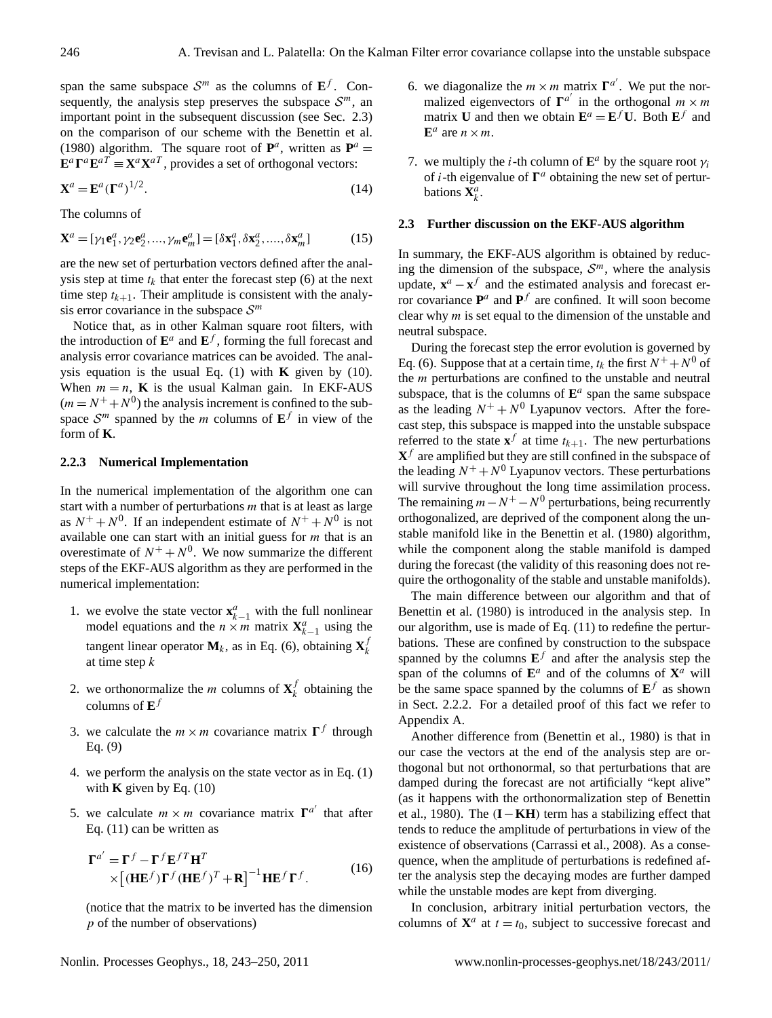span the same subspace  $S^m$  as the columns of  $E^f$ . Consequently, the analysis step preserves the subspace  $S<sup>m</sup>$ , an important point in the subsequent discussion (see Sec. 2.3) on the comparison of our scheme with the [Benettin et al.](#page-7-25) [\(1980\)](#page-7-25) algorithm. The square root of  $P^a$ , written as  $P^a$  =  $\mathbf{E}^a \mathbf{\Gamma}^a \mathbf{E}^{aT} \equiv \mathbf{X}^a \mathbf{X}^{aT}$ , provides a set of orthogonal vectors:

<span id="page-3-0"></span>
$$
\mathbf{X}^a = \mathbf{E}^a (\Gamma^a)^{1/2}.
$$
 (14)

The columns of

$$
\mathbf{X}^a = [\gamma_1 \mathbf{e}_1^a, \gamma_2 \mathbf{e}_2^a, \dots, \gamma_m \mathbf{e}_m^a] = [\delta \mathbf{x}_1^a, \delta \mathbf{x}_2^a, \dots, \delta \mathbf{x}_m^a]
$$
(15)

are the new set of perturbation vectors defined after the analysis step at time  $t_k$  that enter the forecast step [\(6\)](#page-2-2) at the next time step  $t_{k+1}$ . Their amplitude is consistent with the analysis error covariance in the subspace  $S<sup>m</sup>$ 

Notice that, as in other Kalman square root filters, with the introduction of  $\mathbf{E}^a$  and  $\mathbf{E}^f$ , forming the full forecast and analysis error covariance matrices can be avoided. The analysis equation is the usual Eq. [\(1\)](#page-2-3) with **K** given by [\(10\)](#page-2-4). When  $m = n$ , **K** is the usual Kalman gain. In EKF-AUS  $(m = N^{+} + N^{0})$  the analysis increment is confined to the subspace  $\mathcal{S}^m$  spanned by the *m* columns of  $\mathbf{E}^f$  in view of the form of **K**.

#### **2.2.3 Numerical Implementation**

In the numerical implementation of the algorithm one can start with a number of perturbations  $m$  that is at least as large as  $N^+ + N^0$ . If an independent estimate of  $N^+ + N^0$  is not available one can start with an initial guess for  $m$  that is an overestimate of  $N^+ + N^0$ . We now summarize the different steps of the EKF-AUS algorithm as they are performed in the numerical implementation:

- 1. we evolve the state vector  $\mathbf{x}_{k-1}^a$  with the full nonlinear model equations and the  $n \times m$  matrix  $X_{k-1}^a$  using the tangent linear operator  $M_k$ , as in Eq. [\(6\)](#page-2-2), obtaining  $X_k^f$ k at time step k
- 2. we orthonormalize the *m* columns of  $X_k^f$  $\frac{1}{k}$  obtaining the columns of **E** f
- 3. we calculate the  $m \times m$  covariance matrix  $\Gamma^f$  through Eq. [\(9\)](#page-2-5)
- 4. we perform the analysis on the state vector as in Eq. [\(1\)](#page-2-3) with **K** given by Eq. [\(10\)](#page-2-4)
- 5. we calculate  $m \times m$  covariance matrix  $\Gamma^{a'}$  that after Eq. [\(11\)](#page-2-6) can be written as

$$
\Gamma^{a'} = \Gamma^f - \Gamma^f \mathbf{E}^{f} \mathbf{H}^T
$$
  
 
$$
\times [(\mathbf{H} \mathbf{E}^f) \Gamma^f (\mathbf{H} \mathbf{E}^f)^T + \mathbf{R}]^{-1} \mathbf{H} \mathbf{E}^f \Gamma^f.
$$
 (16)

(notice that the matrix to be inverted has the dimension p of the number of observations)

- 6. we diagonalize the  $m \times m$  matrix  $\Gamma^{a'}$ . We put the normalized eigenvectors of  $\Gamma^{a'}$  in the orthogonal  $m \times m$ matrix **U** and then we obtain  $\mathbf{E}^a = \mathbf{E}^f \mathbf{U}$ . Both  $\mathbf{E}^f$  and  $\mathbf{E}^a$  are  $n \times m$ .
- 7. we multiply the *i*-th column of  $\mathbf{E}^a$  by the square root  $\gamma_i$ of *i*-th eigenvalue of  $\Gamma^a$  obtaining the new set of perturbations  $\mathbf{X}_k^a$ .

#### **2.3 Further discussion on the EKF-AUS algorithm**

In summary, the EKF-AUS algorithm is obtained by reducing the dimension of the subspace,  $S<sup>m</sup>$ , where the analysis update,  $\mathbf{x}^a - \mathbf{x}^f$  and the estimated analysis and forecast error covariance  $P^a$  and  $P^f$  are confined. It will soon become clear why  $m$  is set equal to the dimension of the unstable and neutral subspace.

During the forecast step the error evolution is governed by Eq. [\(6\)](#page-2-2). Suppose that at a certain time,  $t_k$  the first  $N^+ + N^0$  of the  $m$  perturbations are confined to the unstable and neutral subspace, that is the columns of  $\mathbf{E}^a$  span the same subspace as the leading  $N^+ + N^0$  Lyapunov vectors. After the forecast step, this subspace is mapped into the unstable subspace referred to the state  $\mathbf{x}^f$  at time  $t_{k+1}$ . The new perturbations  $X<sup>f</sup>$  are amplified but they are still confined in the subspace of the leading  $N^+ + N^0$  Lyapunov vectors. These perturbations will survive throughout the long time assimilation process. The remaining  $m - N^+ - N^0$  perturbations, being recurrently orthogonalized, are deprived of the component along the unstable manifold like in the [Benettin et al.](#page-7-25) [\(1980\)](#page-7-25) algorithm, while the component along the stable manifold is damped during the forecast (the validity of this reasoning does not require the orthogonality of the stable and unstable manifolds).

The main difference between our algorithm and that of [Benettin et al.](#page-7-25) [\(1980\)](#page-7-25) is introduced in the analysis step. In our algorithm, use is made of Eq. [\(11\)](#page-2-6) to redefine the perturbations. These are confined by construction to the subspace spanned by the columns  $E^f$  and after the analysis step the span of the columns of  $\mathbf{E}^a$  and of the columns of  $\mathbf{X}^a$  will be the same space spanned by the columns of  $E^f$  as shown in Sect. 2.2.2. For a detailed proof of this fact we refer to Appendix [A.](#page-0-1)

Another difference from [\(Benettin et al.,](#page-7-25) [1980\)](#page-7-25) is that in our case the vectors at the end of the analysis step are orthogonal but not orthonormal, so that perturbations that are damped during the forecast are not artificially "kept alive" (as it happens with the orthonormalization step of [Benettin](#page-7-25) [et al.,](#page-7-25) [1980\)](#page-7-25). The (**I**−**KH**) term has a stabilizing effect that tends to reduce the amplitude of perturbations in view of the existence of observations [\(Carrassi et al.,](#page-7-26) [2008\)](#page-7-26). As a consequence, when the amplitude of perturbations is redefined after the analysis step the decaying modes are further damped while the unstable modes are kept from diverging.

In conclusion, arbitrary initial perturbation vectors, the columns of  $X^a$  at  $t = t_0$ , subject to successive forecast and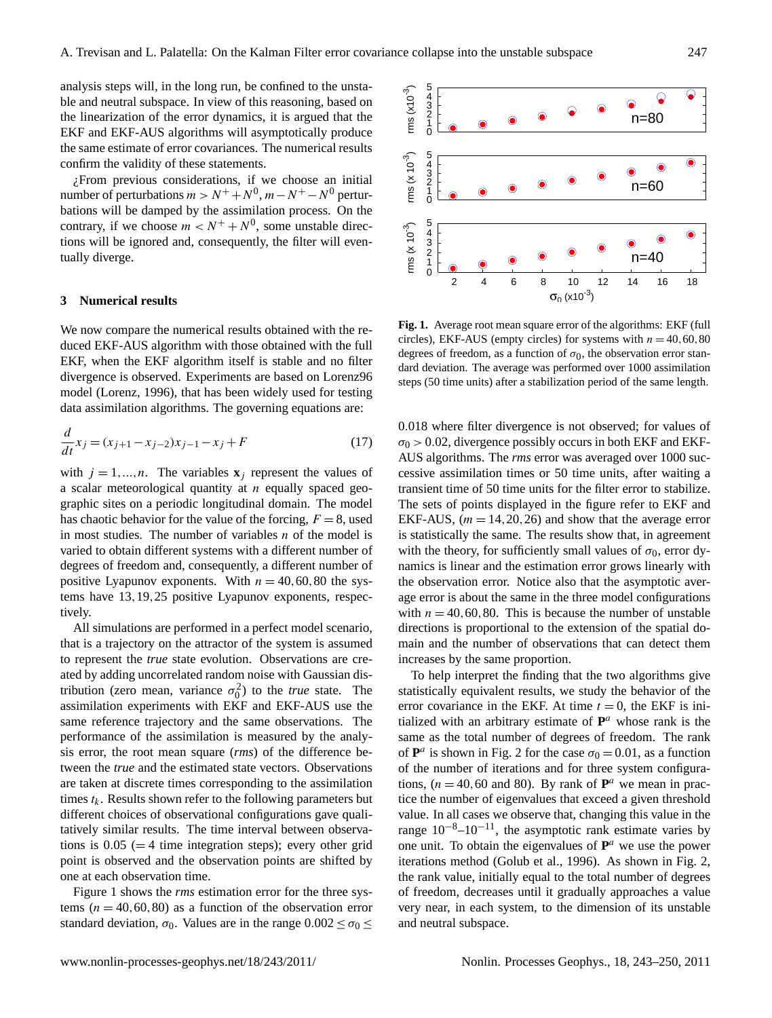analysis steps will, in the long run, be confined to the unstable and neutral subspace. In view of this reasoning, based on the linearization of the error dynamics, it is argued that the EKF and EKF-AUS algorithms will asymptotically produce the same estimate of error covariances. The numerical results confirm the validity of these statements.

¿From previous considerations, if we choose an initial number of perturbations  $m > N^+ + N^0$ ,  $m - N^+ - N^0$  perturbations will be damped by the assimilation process. On the contrary, if we choose  $m < N^+ + N^0$ , some unstable directions will be ignored and, consequently, the filter will eventually diverge.

#### **3 Numerical results**

We now compare the numerical results obtained with the reduced EKF-AUS algorithm with those obtained with the full EKF, when the EKF algorithm itself is stable and no filter divergence is observed. Experiments are based on Lorenz96 model [\(Lorenz,](#page-7-27) [1996\)](#page-7-27), that has been widely used for testing data assimilation algorithms. The governing equations are:

$$
\frac{d}{dt}x_j = (x_{j+1} - x_{j-2})x_{j-1} - x_j + F
$$
\n(17)

with  $j = 1, ..., n$ . The variables  $\mathbf{x}_i$  represent the values of a scalar meteorological quantity at  $n$  equally spaced geographic sites on a periodic longitudinal domain. The model has chaotic behavior for the value of the forcing,  $F = 8$ , used in most studies. The number of variables  $n$  of the model is varied to obtain different systems with a different number of degrees of freedom and, consequently, a different number of positive Lyapunov exponents. With  $n = 40, 60, 80$  the systems have 13,19,25 positive Lyapunov exponents, respectively.

All simulations are performed in a perfect model scenario, that is a trajectory on the attractor of the system is assumed to represent the *true* state evolution. Observations are created by adding uncorrelated random noise with Gaussian distribution (zero mean, variance  $\sigma_0^2$ ) to the *true* state. The assimilation experiments with EKF and EKF-AUS use the same reference trajectory and the same observations. The performance of the assimilation is measured by the analysis error, the root mean square (*rms*) of the difference between the *true* and the estimated state vectors. Observations are taken at discrete times corresponding to the assimilation times  $t_k$ . Results shown refer to the following parameters but different choices of observational configurations gave qualitatively similar results. The time interval between observations is  $0.05$  (= 4 time integration steps); every other grid point is observed and the observation points are shifted by one at each observation time.

Figure [1](#page-4-0) shows the *rms* estimation error for the three systems  $(n = 40, 60, 80)$  as a function of the observation error standard deviation,  $\sigma_0$ . Values are in the range  $0.002 \le \sigma_0 \le$ 



<span id="page-4-0"></span>Fig. 1. Average root mean square error of the algorithms: EKF (full circles), EKF-AUS (empty circles) for systems with  $n = 40, 60, 80$ degrees of freedom, as a function of  $\sigma_0$ , the observation error standard deviation. The average was performed over 1000 assimilation steps (50 time units) after a stabilization period of the same length.

0.018 where filter divergence is not observed; for values of  $\sigma_0$  > 0.02, divergence possibly occurs in both EKF and EKF-AUS algorithms. The *rms* error was averaged over 1000 successive assimilation times or 50 time units, after waiting a transient time of 50 time units for the filter error to stabilize. The sets of points displayed in the figure refer to EKF and EKF-AUS,  $(m = 14, 20, 26)$  and show that the average error is statistically the same. The results show that, in agreement with the theory, for sufficiently small values of  $\sigma_0$ , error dynamics is linear and the estimation error grows linearly with the observation error. Notice also that the asymptotic average error is about the same in the three model configurations with  $n = 40, 60, 80$ . This is because the number of unstable directions is proportional to the extension of the spatial domain and the number of observations that can detect them increases by the same proportion.

To help interpret the finding that the two algorithms give statistically equivalent results, we study the behavior of the error covariance in the EKF. At time  $t = 0$ , the EKF is initialized with an arbitrary estimate of  $P^a$  whose rank is the same as the total number of degrees of freedom. The rank of  $\mathbf{P}^a$  is shown in Fig. [2](#page-5-0) for the case  $\sigma_0 = 0.01$ , as a function of the number of iterations and for three system configurations,  $(n = 40, 60 \text{ and } 80)$ . By rank of  $\mathbf{P}^a$  we mean in practice the number of eigenvalues that exceed a given threshold value. In all cases we observe that, changing this value in the range  $10^{-8}$ – $10^{-11}$ , the asymptotic rank estimate varies by one unit. To obtain the eigenvalues of  $P^a$  we use the power iterations method [\(Golub et al.,](#page-7-24) [1996\)](#page-7-24). As shown in Fig. [2,](#page-5-0) the rank value, initially equal to the total number of degrees of freedom, decreases until it gradually approaches a value very near, in each system, to the dimension of its unstable and neutral subspace.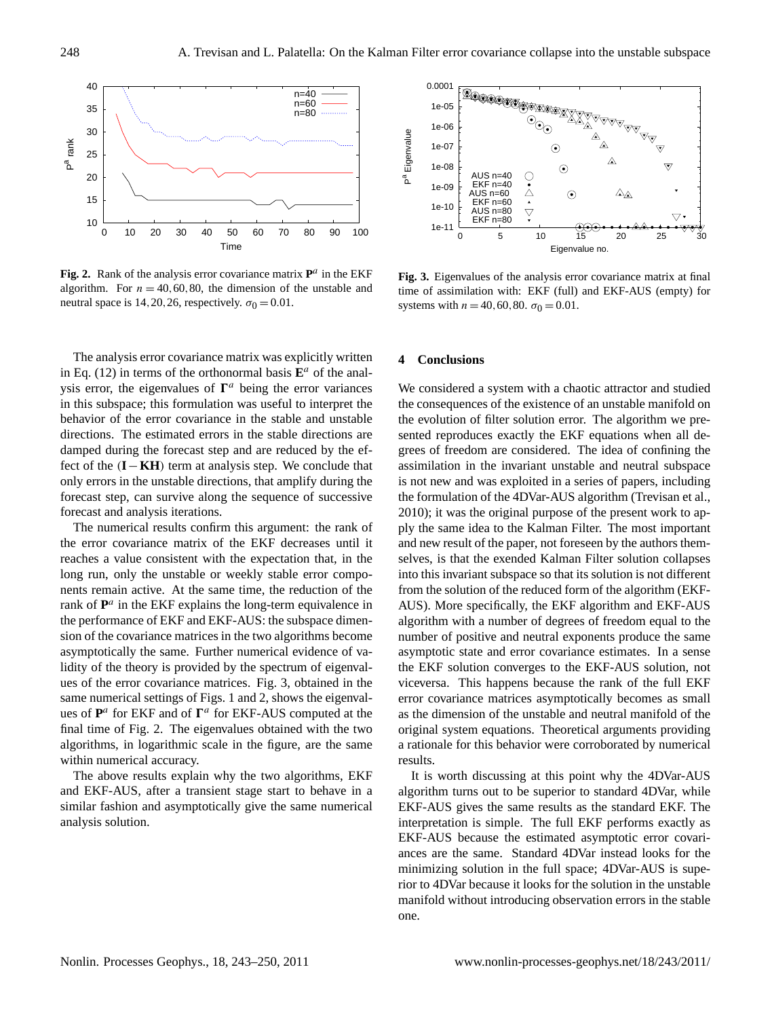

<span id="page-5-0"></span>Fig. 2. Rank of the analysis error covariance matrix  $P^a$  in the EKF algorithm. For  $n = 40, 60, 80$ , the dimension of the unstable and neutral space is 14, 20, 26, respectively.  $\sigma_0 = 0.01$ .

The analysis error covariance matrix was explicitly written in Eq. [\(12\)](#page-2-7) in terms of the orthonormal basis  $\mathbf{E}^a$  of the analysis error, the eigenvalues of  $\Gamma^a$  being the error variances in this subspace; this formulation was useful to interpret the behavior of the error covariance in the stable and unstable directions. The estimated errors in the stable directions are damped during the forecast step and are reduced by the effect of the (**I**−**KH**) term at analysis step. We conclude that only errors in the unstable directions, that amplify during the forecast step, can survive along the sequence of successive forecast and analysis iterations.

The numerical results confirm this argument: the rank of the error covariance matrix of the EKF decreases until it reaches a value consistent with the expectation that, in the long run, only the unstable or weekly stable error components remain active. At the same time, the reduction of the rank of  $P^a$  in the EKF explains the long-term equivalence in the performance of EKF and EKF-AUS: the subspace dimension of the covariance matrices in the two algorithms become asymptotically the same. Further numerical evidence of validity of the theory is provided by the spectrum of eigenvalues of the error covariance matrices. Fig. [3,](#page-5-1) obtained in the same numerical settings of Figs. [1](#page-4-0) and [2,](#page-5-0) shows the eigenvalues of  $P^a$  for EKF and of  $\Gamma^a$  for EKF-AUS computed at the final time of Fig. [2.](#page-5-0) The eigenvalues obtained with the two algorithms, in logarithmic scale in the figure, are the same within numerical accuracy.

The above results explain why the two algorithms, EKF and EKF-AUS, after a transient stage start to behave in a similar fashion and asymptotically give the same numerical analysis solution.



<span id="page-5-1"></span>**Fig. 3.** Eigenvalues of the analysis error covariance matrix at final time of assimilation with: EKF (full) and EKF-AUS (empty) for systems with  $n = 40, 60, 80. \sigma_0 = 0.01$ .

#### **4 Conclusions**

We considered a system with a chaotic attractor and studied the consequences of the existence of an unstable manifold on the evolution of filter solution error. The algorithm we presented reproduces exactly the EKF equations when all degrees of freedom are considered. The idea of confining the assimilation in the invariant unstable and neutral subspace is not new and was exploited in a series of papers, including the formulation of the 4DVar-AUS algorithm [\(Trevisan et al.,](#page-7-20) [2010\)](#page-7-20); it was the original purpose of the present work to apply the same idea to the Kalman Filter. The most important and new result of the paper, not foreseen by the authors themselves, is that the exended Kalman Filter solution collapses into this invariant subspace so that its solution is not different from the solution of the reduced form of the algorithm (EKF-AUS). More specifically, the EKF algorithm and EKF-AUS algorithm with a number of degrees of freedom equal to the number of positive and neutral exponents produce the same asymptotic state and error covariance estimates. In a sense the EKF solution converges to the EKF-AUS solution, not viceversa. This happens because the rank of the full EKF error covariance matrices asymptotically becomes as small as the dimension of the unstable and neutral manifold of the original system equations. Theoretical arguments providing a rationale for this behavior were corroborated by numerical results.

It is worth discussing at this point why the 4DVar-AUS algorithm turns out to be superior to standard 4DVar, while EKF-AUS gives the same results as the standard EKF. The interpretation is simple. The full EKF performs exactly as EKF-AUS because the estimated asymptotic error covariances are the same. Standard 4DVar instead looks for the minimizing solution in the full space; 4DVar-AUS is superior to 4DVar because it looks for the solution in the unstable manifold without introducing observation errors in the stable one.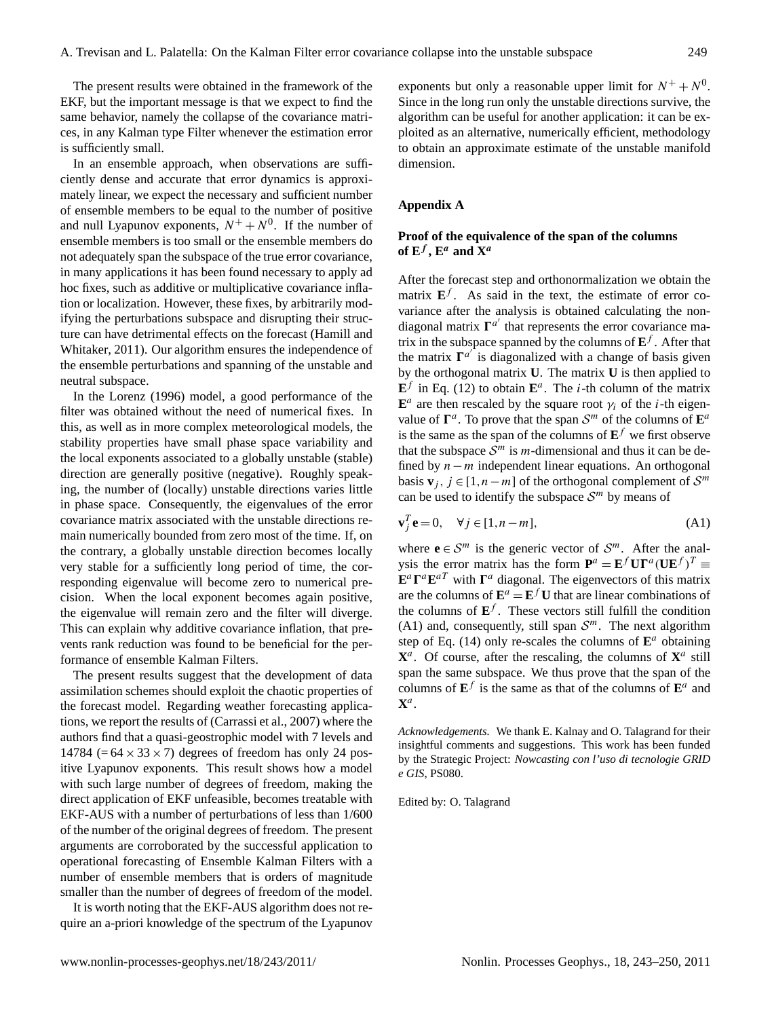The present results were obtained in the framework of the EKF, but the important message is that we expect to find the same behavior, namely the collapse of the covariance matrices, in any Kalman type Filter whenever the estimation error is sufficiently small.

In an ensemble approach, when observations are sufficiently dense and accurate that error dynamics is approximately linear, we expect the necessary and sufficient number of ensemble members to be equal to the number of positive and null Lyapunov exponents,  $N^+ + N^0$ . If the number of ensemble members is too small or the ensemble members do not adequately span the subspace of the true error covariance, in many applications it has been found necessary to apply ad hoc fixes, such as additive or multiplicative covariance inflation or localization. However, these fixes, by arbitrarily modifying the perturbations subspace and disrupting their structure can have detrimental effects on the forecast [\(Hamill and](#page-7-28) [Whitaker,](#page-7-28) [2011\)](#page-7-28). Our algorithm ensures the independence of the ensemble perturbations and spanning of the unstable and neutral subspace.

In the [Lorenz](#page-7-27) [\(1996\)](#page-7-27) model, a good performance of the filter was obtained without the need of numerical fixes. In this, as well as in more complex meteorological models, the stability properties have small phase space variability and the local exponents associated to a globally unstable (stable) direction are generally positive (negative). Roughly speaking, the number of (locally) unstable directions varies little in phase space. Consequently, the eigenvalues of the error covariance matrix associated with the unstable directions remain numerically bounded from zero most of the time. If, on the contrary, a globally unstable direction becomes locally very stable for a sufficiently long period of time, the corresponding eigenvalue will become zero to numerical precision. When the local exponent becomes again positive, the eigenvalue will remain zero and the filter will diverge. This can explain why additive covariance inflation, that prevents rank reduction was found to be beneficial for the performance of ensemble Kalman Filters.

The present results suggest that the development of data assimilation schemes should exploit the chaotic properties of the forecast model. Regarding weather forecasting applications, we report the results of [\(Carrassi et al.,](#page-7-29) [2007\)](#page-7-29) where the authors find that a quasi-geostrophic model with 7 levels and 14784 (=  $64 \times 33 \times 7$ ) degrees of freedom has only 24 positive Lyapunov exponents. This result shows how a model with such large number of degrees of freedom, making the direct application of EKF unfeasible, becomes treatable with EKF-AUS with a number of perturbations of less than 1/600 of the number of the original degrees of freedom. The present arguments are corroborated by the successful application to operational forecasting of Ensemble Kalman Filters with a number of ensemble members that is orders of magnitude smaller than the number of degrees of freedom of the model.

It is worth noting that the EKF-AUS algorithm does not require an a-priori knowledge of the spectrum of the Lyapunov

exponents but only a reasonable upper limit for  $N^+ + N^0$ . Since in the long run only the unstable directions survive, the algorithm can be useful for another application: it can be exploited as an alternative, numerically efficient, methodology to obtain an approximate estimate of the unstable manifold dimension.

## **Appendix A**

## **Proof of the equivalence of the span of the columns** of  $E^f$ ,  $E^a$  and  $X^a$

After the forecast step and orthonormalization we obtain the matrix  $\mathbf{E}^f$ . As said in the text, the estimate of error covariance after the analysis is obtained calculating the nondiagonal matrix  $\mathbf{\Gamma}^{a'}$  that represents the error covariance matrix in the subspace spanned by the columns of  $E^f$ . After that the matrix  $\Gamma^{a'}$  is diagonalized with a change of basis given by the orthogonal matrix **U**. The matrix **U** is then applied to  $\mathbf{E}^f$  in Eq. [\(12\)](#page-2-7) to obtain  $\mathbf{E}^a$ . The *i*-th column of the matrix  $\mathbf{E}^a$  are then rescaled by the square root  $\gamma_i$  of the *i*-th eigenvalue of  $\Gamma^a$ . To prove that the span  $\mathcal{S}^m$  of the columns of  $\mathbf{E}^a$ is the same as the span of the columns of  $E^f$  we first observe that the subspace  $S<sup>m</sup>$  is m-dimensional and thus it can be defined by n−m independent linear equations. An orthogonal basis **v**<sub>j</sub>,  $j \in [1, n-m]$  of the orthogonal complement of  $S^m$ can be used to identify the subspace  $S<sup>m</sup>$  by means of

<span id="page-6-0"></span>
$$
\mathbf{v}_j^T \mathbf{e} = 0, \quad \forall j \in [1, n - m], \tag{A1}
$$

where  $e \in S^m$  is the generic vector of  $S^m$ . After the analysis the error matrix has the form  $\mathbf{P}^a = \mathbf{E}^f \mathbf{U} \mathbf{\Gamma}^a (\mathbf{U} \mathbf{E}^f)^T \equiv$  $\mathbf{E}^a \mathbf{\Gamma}^a \mathbf{E}^{aT}$  with  $\mathbf{\Gamma}^a$  diagonal. The eigenvectors of this matrix are the columns of  $\mathbf{E}^a = \mathbf{E}^f \mathbf{U}$  that are linear combinations of the columns of  $E^f$ . These vectors still fulfill the condition [\(A1\)](#page-6-0) and, consequently, still span  $S<sup>m</sup>$ . The next algorithm step of Eq.  $(14)$  only re-scales the columns of  $\mathbf{E}^a$  obtaining  $X^a$ . Of course, after the rescaling, the columns of  $X^a$  still span the same subspace. We thus prove that the span of the columns of  $\mathbf{E}^f$  is the same as that of the columns of  $\mathbf{E}^a$  and  $\mathbf{X}^a$ .

*Acknowledgements.* We thank E. Kalnay and O. Talagrand for their insightful comments and suggestions. This work has been funded by the Strategic Project: *Nowcasting con l'uso di tecnologie GRID e GIS*, PS080.

Edited by: O. Talagrand